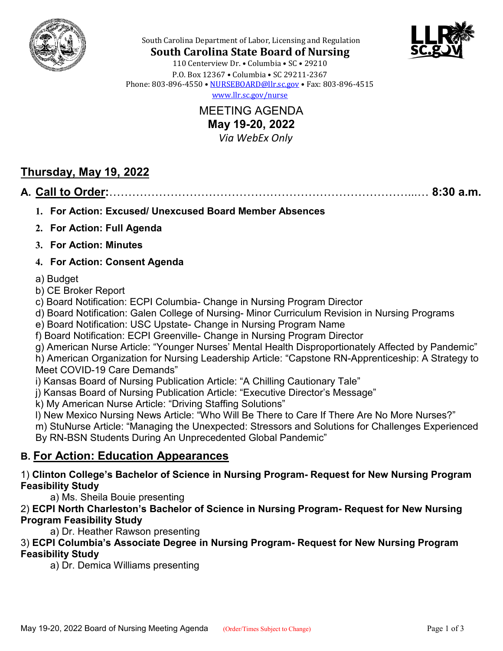



South Carolina Department of Labor, Licensing and Regulation **South Carolina State Board of Nursing**

110 Centerview Dr. • Columbia • SC • 29210 P.O. Box 12367 • Columbia • SC 29211-2367 Phone: 803-896-4550 • [NURSEBOARD@llr.sc.gov](mailto:contactllr@llr.sc.gov) • Fax: 803-896-4515 [www.llr.sc.gov/nurse](http://www.llr.sc.gov/nurse)

> MEETING AGENDA **May 19-20, 2022**  *Via WebEx Only*

# **Thursday, May 19, 2022**

## **A. Call to Order:**……………………………………………………………………...… **8:30 a.m.**

- **1. For Action: Excused/ Unexcused Board Member Absences**
- **2. For Action: Full Agenda**
- **3. For Action: Minutes**
- **4. For Action: Consent Agenda**

### a) Budget

- b) CE Broker Report
- c) Board Notification: ECPI Columbia- Change in Nursing Program Director
- d) Board Notification: Galen College of Nursing- Minor Curriculum Revision in Nursing Programs
- e) Board Notification: USC Upstate- Change in Nursing Program Name
- f) Board Notification: ECPI Greenville- Change in Nursing Program Director
- g) American Nurse Article: "Younger Nurses' Mental Health Disproportionately Affected by Pandemic"
- h) American Organization for Nursing Leadership Article: "Capstone RN-Apprenticeship: A Strategy to Meet COVID-19 Care Demands"
- i) Kansas Board of Nursing Publication Article: "A Chilling Cautionary Tale"
- j) Kansas Board of Nursing Publication Article: "Executive Director's Message"
- k) My American Nurse Article: "Driving Staffing Solutions"
- l) New Mexico Nursing News Article: "Who Will Be There to Care If There Are No More Nurses?"
- m) StuNurse Article: "Managing the Unexpected: Stressors and Solutions for Challenges Experienced By RN-BSN Students During An Unprecedented Global Pandemic"

# **B. For Action: Education Appearances**

### 1) **Clinton College's Bachelor of Science in Nursing Program- Request for New Nursing Program Feasibility Study**

a) Ms. Sheila Bouie presenting

### 2) **ECPI North Charleston's Bachelor of Science in Nursing Program- Request for New Nursing Program Feasibility Study**

a) Dr. Heather Rawson presenting

### 3) **ECPI Columbia's Associate Degree in Nursing Program- Request for New Nursing Program Feasibility Study**

a) Dr. Demica Williams presenting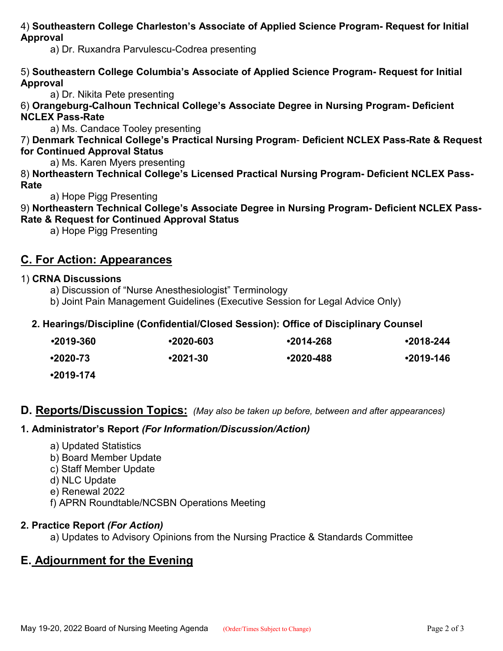4) **Southeastern College Charleston's Associate of Applied Science Program- Request for Initial Approval**

a) Dr. Ruxandra Parvulescu-Codrea presenting

### 5) **Southeastern College Columbia's Associate of Applied Science Program- Request for Initial Approval**

a) Dr. Nikita Pete presenting

6) **Orangeburg-Calhoun Technical College's Associate Degree in Nursing Program- Deficient NCLEX Pass-Rate**

a) Ms. Candace Tooley presenting

7) **Denmark Technical College's Practical Nursing Program**- **Deficient NCLEX Pass-Rate & Request for Continued Approval Status**

a) Ms. Karen Myers presenting

8) **Northeastern Technical College's Licensed Practical Nursing Program- Deficient NCLEX Pass-Rate**

a) Hope Pigg Presenting

9) **Northeastern Technical College's Associate Degree in Nursing Program- Deficient NCLEX Pass-Rate & Request for Continued Approval Status**

a) Hope Pigg Presenting

## **C. For Action: Appearances**

### 1) **CRNA Discussions**

- a) Discussion of "Nurse Anesthesiologist" Terminology
- b) Joint Pain Management Guidelines (Executive Session for Legal Advice Only)

### **2. Hearings/Discipline (Confidential/Closed Session): Office of Disciplinary Counsel**

| $•2019-360$ | $•2020-603$  | $•2014 - 268$ | $•2018 - 244$ |
|-------------|--------------|---------------|---------------|
| •2020-73    | $•2021 - 30$ | $•2020 - 488$ | $•2019-146$   |
| $•2019-174$ |              |               |               |

### **D. Reports/Discussion Topics:** *(May also be taken up before, between and after appearances)*

### **1. Administrator's Report** *(For Information/Discussion/Action)*

- a) Updated Statistics
- b) Board Member Update
- c) Staff Member Update
- d) NLC Update
- e) Renewal 2022
- f) APRN Roundtable/NCSBN Operations Meeting

### **2. Practice Report** *(For Action)*

a) Updates to Advisory Opinions from the Nursing Practice & Standards Committee

## **E. Adjournment for the Evening**